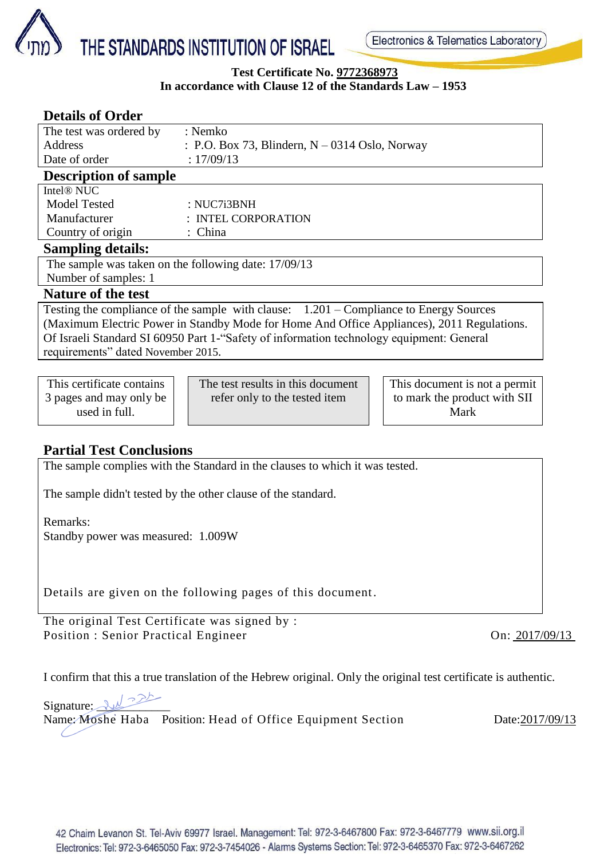

#### **Test Certificate No. 9772368973 In accordance with Clause 12 of the Standards Law – 1953**

| <b>Details of Order</b>                                                                    |            |                                                  |  |                               |  |  |  |
|--------------------------------------------------------------------------------------------|------------|--------------------------------------------------|--|-------------------------------|--|--|--|
| The test was ordered by                                                                    |            | : Nemko                                          |  |                               |  |  |  |
| <b>Address</b>                                                                             |            | : P.O. Box 73, Blindern, $N - 0314$ Oslo, Norway |  |                               |  |  |  |
| Date of order                                                                              | : 17/09/13 |                                                  |  |                               |  |  |  |
| <b>Description of sample</b>                                                               |            |                                                  |  |                               |  |  |  |
| Intel <sup>®</sup> NUC                                                                     |            |                                                  |  |                               |  |  |  |
| <b>Model Tested</b>                                                                        |            | : NUC7i3BNH                                      |  |                               |  |  |  |
| Manufacturer                                                                               |            | : INTEL CORPORATION                              |  |                               |  |  |  |
| Country of origin                                                                          | : China    |                                                  |  |                               |  |  |  |
| <b>Sampling details:</b>                                                                   |            |                                                  |  |                               |  |  |  |
| The sample was taken on the following date: 17/09/13                                       |            |                                                  |  |                               |  |  |  |
| Number of samples: 1                                                                       |            |                                                  |  |                               |  |  |  |
| <b>Nature of the test</b>                                                                  |            |                                                  |  |                               |  |  |  |
| Testing the compliance of the sample with clause: 1.201 – Compliance to Energy Sources     |            |                                                  |  |                               |  |  |  |
| (Maximum Electric Power in Standby Mode for Home And Office Appliances), 2011 Regulations. |            |                                                  |  |                               |  |  |  |
| Of Israeli Standard SI 60950 Part 1-"Safety of information technology equipment: General   |            |                                                  |  |                               |  |  |  |
| requirements" dated November 2015.                                                         |            |                                                  |  |                               |  |  |  |
|                                                                                            |            |                                                  |  |                               |  |  |  |
| This certificate contains                                                                  |            | The test results in this document                |  | This document is not a permit |  |  |  |
| 3 pages and may only be                                                                    |            | refer only to the tested item                    |  | to mark the product with SII  |  |  |  |
| used in full.                                                                              |            |                                                  |  | Mark                          |  |  |  |

# **Partial Test Conclusions**

The sample complies with the Standard in the clauses to which it was tested.

The sample didn't tested by the other clause of the standard.

Remarks:

Standby power was measured: 1.009W

Details are given on the following pages of this document.

The original Test Certificate was signed by : Position : Senior Practical Engineer On: 2017/09/13

I confirm that this a true translation of the Hebrew original. Only the original test certificate is authentic.

 $Signature: 24$ 

Name: Moshe Haba Position: Head of Office Equipment Section Date:2017/09/13○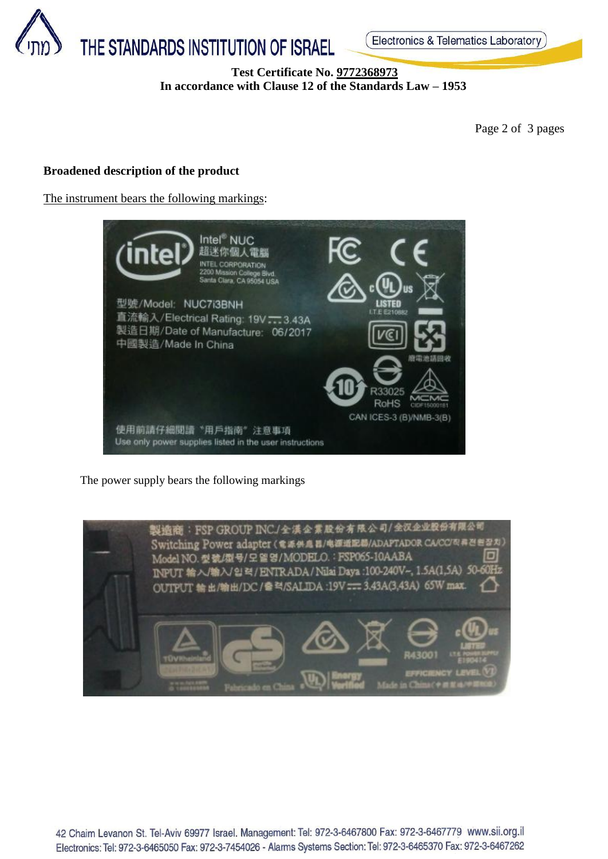

## **Test Certificate No. 9772368973 In accordance with Clause 12 of the Standards Law – 1953**

Page 2 of 3 pages

## **Broadened description of the product**

The instrument bears the following markings:



The power supply bears the following markings



42 Chaim Levanon St. Tel-Aviv 69977 Israel. Management: Tel: 972-3-6467800 Fax: 972-3-6467779 www.sii.org.il Electronics: Tel: 972-3-6465050 Fax: 972-3-7454026 - Alarms Systems Section: Tel: 972-3-6465370 Fax: 972-3-6467262